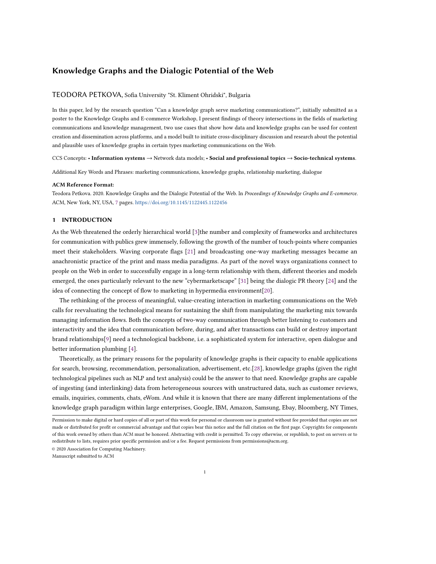# Knowledge Graphs and the Dialogic Potential of the Web

#### TEODORA PETKOVA, Sofia University "St. Kliment Ohridski", Bulgaria

In this paper, led by the research question "Can a knowledge graph serve marketing communications?", initially submitted as a poster to the Knowledge Graphs and E-commerce Workshop, I present findings of theory intersections in the fields of marketing communications and knowledge management, two use cases that show how data and knowledge graphs can be used for content creation and dissemination across platforms, and a model built to initiate cross-disciplinary discussion and research about the potential and plausible uses of knowledge graphs in certain types marketing communications on the Web.

CCS Concepts: • Information systems → Network data models; • Social and professional topics → Socio-technical systems.

Additional Key Words and Phrases: marketing communications, knowledge graphs, relationship marketing, dialogue

#### ACM Reference Format:

Teodora Petkova. 2020. Knowledge Graphs and the Dialogic Potential of the Web. In Proceedings of Knowledge Graphs and E-commerce. ACM, New York, NY, USA, [7](#page-6-0) pages. <https://doi.org/10.1145/1122445.1122456>

# 1 INTRODUCTION

As the Web threatened the orderly hierarchical world [\[3\]](#page-6-1)the number and complexity of frameworks and architectures for communication with publics grew immensely, following the growth of the number of touch-points where companies meet their stakeholders. Waving corporate flags [\[21\]](#page-6-2) and broadcasting one-way marketing messages became an anachronistic practice of the print and mass media paradigms. As part of the novel ways organizations connect to people on the Web in order to successfully engage in a long-term relationship with them, different theories and models emerged, the ones particularly relevant to the new "cybermarketscape" [\[31\]](#page-6-3) being the dialogic PR theory [\[24\]](#page-6-4) and the idea of connecting the concept of flow to marketing in hypermedia environment[\[20\]](#page-6-5).

The rethinking of the process of meaningful, value-creating interaction in marketing communications on the Web calls for reevaluating the technological means for sustaining the shift from manipulating the marketing mix towards managing information flows. Both the concepts of two-way communication through better listening to customers and interactivity and the idea that communication before, during, and after transactions can build or destroy important brand relationships[\[9\]](#page-6-6) need a technological backbone, i.e. a sophisticated system for interactive, open dialogue and better information plumbing [\[4\]](#page-6-7).

Theoretically, as the primary reasons for the popularity of knowledge graphs is their capacity to enable applications for search, browsing, recommendation, personalization, advertisement, etc.[\[28\]](#page-6-8), knowledge graphs (given the right technological pipelines such as NLP and text analysis) could be the answer to that need. Knowledge graphs are capable of ingesting (and interlinking) data from heterogeneous sources with unstructured data, such as customer reviews, emails, inquiries, comments, chats, eWom. And while it is known that there are many different implementations of the knowledge graph paradigm within large enterprises, Google, IBM, Amazon, Samsung, Ebay, Bloomberg, NY Times,

© 2020 Association for Computing Machinery.

Manuscript submitted to ACM

Permission to make digital or hard copies of all or part of this work for personal or classroom use is granted without fee provided that copies are not made or distributed for profit or commercial advantage and that copies bear this notice and the full citation on the first page. Copyrights for components of this work owned by others than ACM must be honored. Abstracting with credit is permitted. To copy otherwise, or republish, to post on servers or to redistribute to lists, requires prior specific permission and/or a fee. Request permissions from permissions@acm.org.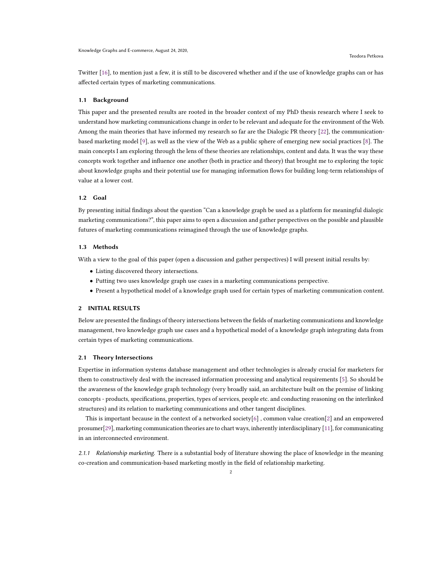Twitter [\[16\]](#page-6-9), to mention just a few, it is still to be discovered whether and if the use of knowledge graphs can or has affected certain types of marketing communications.

#### 1.1 Background

This paper and the presented results are rooted in the broader context of my PhD thesis research where I seek to understand how marketing communications change in order to be relevant and adequate for the environment of the Web. Among the main theories that have informed my research so far are the Dialogic PR theory [\[22\]](#page-6-10), the communicationbased marketing model [\[9\]](#page-6-6), as well as the view of the Web as a public sphere of emerging new social practices [\[8\]](#page-6-11). The main concepts I am exploring through the lens of these theories are relationships, content and data. It was the way these concepts work together and influence one another (both in practice and theory) that brought me to exploring the topic about knowledge graphs and their potential use for managing information flows for building long-term relationships of value at a lower cost.

#### 1.2 Goal

By presenting initial findings about the question "Can a knowledge graph be used as a platform for meaningful dialogic marketing communications?", this paper aims to open a discussion and gather perspectives on the possible and plausible futures of marketing communications reimagined through the use of knowledge graphs.

#### 1.3 Methods

With a view to the goal of this paper (open a discussion and gather perspectives) I will present initial results by:

- Listing discovered theory intersections.
- Putting two uses knowledge graph use cases in a marketing communications perspective.
- Present a hypothetical model of a knowledge graph used for certain types of marketing communication content.

# 2 INITIAL RESULTS

Below are presented the findings of theory intersections between the fields of marketing communications and knowledge management, two knowledge graph use cases and a hypothetical model of a knowledge graph integrating data from certain types of marketing communications.

## 2.1 Theory Intersections

Expertise in information systems database management and other technologies is already crucial for marketers for them to constructively deal with the increased information processing and analytical requirements [\[5\]](#page-6-12). So should be the awareness of the knowledge graph technology (very broadly said, an architecture built on the premise of linking concepts - products, specifications, properties, types of services, people etc. and conducting reasoning on the interlinked structures) and its relation to marketing communications and other tangent disciplines.

This is important because in the context of a networked society[\[6\]](#page-6-13), common value creation[\[2\]](#page-5-0) and an empowered prosumer[\[29\]](#page-6-14), marketing communication theories are to chart ways, inherently interdisciplinary [\[11\]](#page-6-15), for communicating in an interconnected environment.

2.1.1 Relationship marketing. There is a substantial body of literature showing the place of knowledge in the meaning co-creation and communication-based marketing mostly in the field of relationship marketing.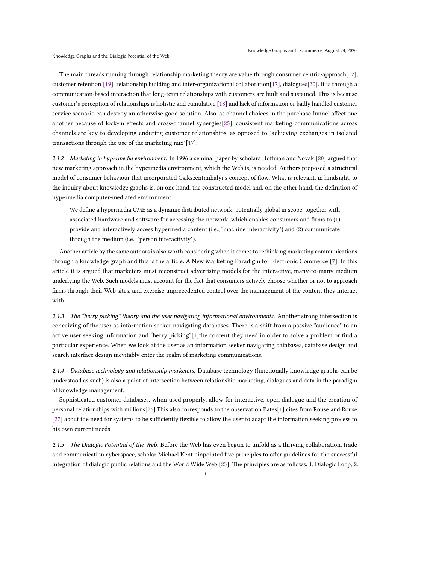The main threads running through relationship marketing theory are value through consumer centric-approach[\[12\]](#page-6-16), customer retention [\[19\]](#page-6-17), relationship building and inter-organizational collaboration[\[17\]](#page-6-18), dialogues[\[30\]](#page-6-19). It is through a communication-based interaction that long-term relationships with customers are built and sustained. This is because customer's perception of relationships is holistic and cumulative [\[18\]](#page-6-20) and lack of information or badly handled customer service scenario can destroy an otherwise good solution. Also, as channel choices in the purchase funnel affect one another because of lock-in effects and cross-channel synergies[\[25\]](#page-6-21), consistent marketing communications across channels are key to developing enduring customer relationships, as opposed to "achieving exchanges in isolated transactions through the use of the marketing mix"[\[17\]](#page-6-18).

2.1.2 Marketing in hypermedia environment. In 1996 a seminal paper by scholars Hoffman and Novak [\[20\]](#page-6-5) argued that new marketing approach in the hypermedia environment, which the Web is, is needed. Authors proposed a structural model of consumer behaviour that incorporated Csikszentmihalyi's concept of flow. What is relevant, in hindsight, to the inquiry about knowledge graphs is, on one hand, the constructed model and, on the other hand, the definition of hypermedia computer-mediated environment:

We define a hypermedia CME as a dynamic distributed network, potentially global in scope, together with associated hardware and software for accessing the network, which enables consumers and firms to (1) provide and interactively access hypermedia content (i.e., "machine interactivity") and (2) communicate through the medium (i.e., "person interactivity").

Another article by the same authors is also worth considering when it comes to rethinking marketing communications through a knowledge graph and this is the article: A New Marketing Paradigm for Electronic Commerce [\[7\]](#page-6-22). In this article it is argued that marketers must reconstruct advertising models for the interactive, many-to-many medium underlying the Web. Such models must account for the fact that consumers actively choose whether or not to approach firms through their Web sites, and exercise unprecedented control over the management of the content they interact with.

2.1.3 The "berry picking" theory and the user navigating informational environments. Another strong intersection is conceiving of the user as information seeker navigating databases. There is a shift from a passive "audience" to an active user seeking information and "berry picking"[\[1\]](#page-5-1)the content they need in order to solve a problem or find a particular experience. When we look at the user as an information seeker navigating databases, database design and search interface design inevitably enter the realm of marketing communications.

2.1.4 Database technology and relationship marketers. Database technology (functionally knowledge graphs can be understood as such) is also a point of intersection between relationship marketing, dialogues and data in the paradigm of knowledge management.

Sophisticated customer databases, when used properly, allow for interactive, open dialogue and the creation of personal relationships with millions[\[26\]](#page-6-23).This also corresponds to the observation Bates[\[1\]](#page-5-1) cites from Rouse and Rouse [\[27\]](#page-6-24) about the need for systems to be sufficiently flexible to allow the user to adapt the information seeking process to his own current needs.

2.1.5 The Dialogic Potential of the Web. Before the Web has even begun to unfold as a thriving collaboration, trade and communication cyberspace, scholar Michael Kent pinpointed five principles to offer guidelines for the successful integration of dialogic public relations and the World Wide Web [\[23\]](#page-6-25). The principles are as follows: 1. Dialogic Loop; 2.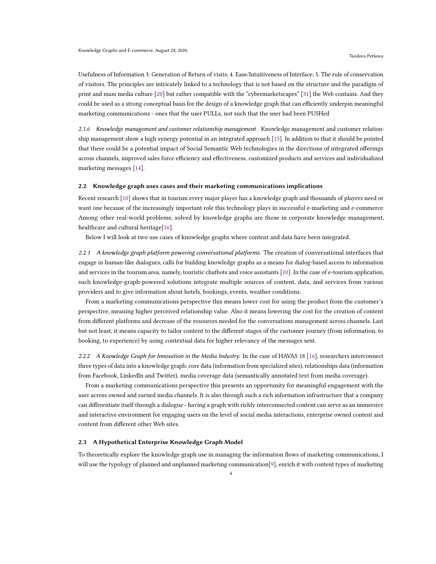Usefulness of Information 3. Generation of Return of visits; 4. Ease/Intuitiveness of Interface; 5. The rule of conservation of visitors. The principles are intricately linked to a technology that is not based on the structure and the paradigm of print and mass media culture [\[20\]](#page-6-5) but rather compatible with the "cybermarketscapes" [\[31\]](#page-6-3) the Web contains. And they could be used as a strong conceptual basis for the design of a knowledge graph that can efficiently underpin meaningful marketing communications - ones that the user PULLs, not such that the user had been PUSHed

2.1.6 Knowledge management and customer relationship management . Knowledge management and customer relationship management show a high synergy potential in an integrated approach [\[15\]](#page-6-26). In addition to that it should be pointed that there could be a potential impact of Social Semantic Web technologies in the directions of integrated offerings across channels, improved sales force efficiency and effectiveness, customized products and services and individualized marketing messages [\[14\]](#page-6-27).

# 2.2 Knowledge graph uses cases and their marketing communications implications

Recent research [\[10\]](#page-6-28) shows that in tourism every major player has a knowledge graph and thousands of players need or want one because of the increasingly important role this technology plays in successful e-marketing and e-commerce. Among other real-world problems, solved by knowledge graphs are those in corporate knowledge management, healthcare and cultural heritage[\[16\]](#page-6-9).

Below I will look at two use cases of knowledge graphs where content and data have been integrated.

2.2.1 A knowledge graph platform powering conversational platforms. The creation of conversational interfaces that engage in human-like dialogues, calls for building knowledge graphs as a means for dialog-based access to information and services in the tourism area, namely, touristic chatbots and voice assistants [\[10\]](#page-6-28). In the case of e-tourism application, such knowledge-graph-powered solutions integrate multiple sources of content, data, and services from various providers and to give information about hotels, bookings, events, weather conditions.

From a marketing communications perspective this means lower cost for using the product from the customer's perspective, meaning higher perceived relationship value. Also it means lowering the cost for the creation of content from different platforms and decrease of the resources needed for the conversations management across channels. Last but not least, it means capacity to tailor content to the different stages of the customer journey (from information, to booking, to experience) by using contextual data for higher relevancy of the messages sent.

2.2.2 A Knowledge Graph for Innovation in the Media Industry. In the case of HAVAS 18 [\[16\]](#page-6-9), researchers interconnect three types of data into a knowledge graph: core data (information from specialized sites), relationships data (information from Facebook, LinkedIn and Twitter), media coverage data (semantically annotated text from media coverage).

From a marketing communications perspective this presents an opportunity for meaningful engagement with the user across owned and earned media channels. It is also through such a rich information infrastructure that a company can differentiate itself through a dialogue - having a graph with richly interconnected content can serve as an immersive and interactive environment for engaging users on the level of social media interactions, enterprise owned content and content from different other Web sites.

#### 2.3 A Hypothetical Enterprise Knowledge Graph Model

To theoretically explore the knowledge graph use in managing the information flows of marketing communications, I will use the typology of planned and unplanned marketing communication[\[9\]](#page-6-6), enrich it with content types of marketing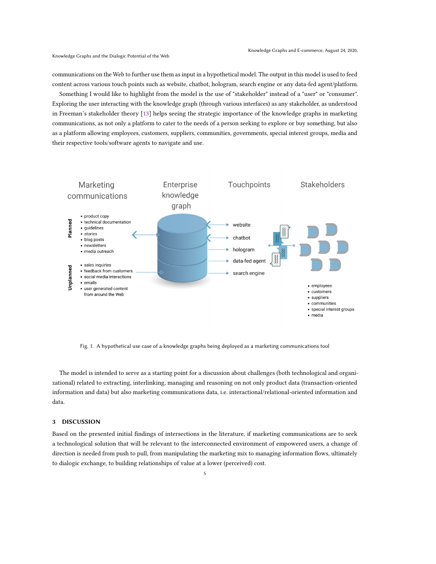communications on the Web to further use them as input in a hypothetical model. The output in this model is used to feed content across various touch points such as website, chatbot, hologram, search engine or any data-fed agent/platform.

Something I would like to highlight from the model is the use of "stakeholder" instead of a "user" or "consumer". Exploring the user interacting with the knowledge graph (through various interfaces) as any stakeholder, as understood in Freeman's stakeholder theory [\[13\]](#page-6-29) helps seeing the strategic importance of the knowledge graphs in marketing communications, as not only a platform to cater to the needs of a person seeking to explore or buy something, but also as a platform allowing employees, customers, suppliers, communities, governments, special interest groups, media and their respective tools/software agents to navigate and use.



Fig. 1. A hypothetical use case of a knowledge graphs being deployed as a marketing communications tool

The model is intended to serve as a starting point for a discussion about challenges (both technological and organizational) related to extracting, interlinking, managing and reasoning on not only product data (transaction-oriented information and data) but also marketing communications data, i.e. interactional/relational-oriented information and data.

# 3 DISCUSSION

Based on the presented initial findings of intersections in the literature, if marketing communications are to seek a technological solution that will be relevant to the interconnected environment of empowered users, a change of direction is needed from push to pull, from manipulating the marketing mix to managing information flows, ultimately to dialogic exchange, to building relationships of value at a lower (perceived) cost.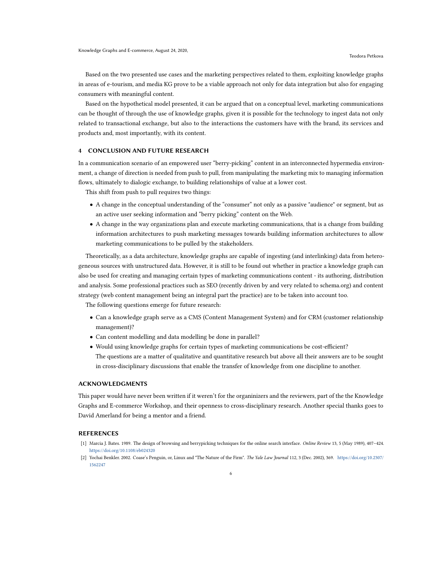Based on the two presented use cases and the marketing perspectives related to them, exploiting knowledge graphs in areas of e-tourism, and media KG prove to be a viable approach not only for data integration but also for engaging consumers with meaningful content.

Based on the hypothetical model presented, it can be argued that on a conceptual level, marketing communications can be thought of through the use of knowledge graphs, given it is possible for the technology to ingest data not only related to transactional exchange, but also to the interactions the customers have with the brand, its services and products and, most importantly, with its content.

## 4 CONCLUSION AND FUTURE RESEARCH

In a communication scenario of an empowered user "berry-picking" content in an interconnected hypermedia environment, a change of direction is needed from push to pull, from manipulating the marketing mix to managing information flows, ultimately to dialogic exchange, to building relationships of value at a lower cost.

This shift from push to pull requires two things:

- A change in the conceptual understanding of the "consumer" not only as a passive "audience" or segment, but as an active user seeking information and "berry picking" content on the Web.
- A change in the way organizations plan and execute marketing communications, that is a change from building information architectures to push marketing messages towards building information architectures to allow marketing communications to be pulled by the stakeholders.

Theoretically, as a data architecture, knowledge graphs are capable of ingesting (and interlinking) data from heterogeneous sources with unstructured data. However, it is still to be found out whether in practice a knowledge graph can also be used for creating and managing certain types of marketing communications content - its authoring, distribution and analysis. Some professional practices such as SEO (recently driven by and very related to schema.org) and content strategy (web content management being an integral part the practice) are to be taken into account too.

The following questions emerge for future research:

- Can a knowledge graph serve as a CMS (Content Management System) and for CRM (customer relationship management)?
- Can content modelling and data modelling be done in parallel?
- Would using knowledge graphs for certain types of marketing communications be cost-efficient? The questions are a matter of qualitative and quantitative research but above all their answers are to be sought in cross-disciplinary discussions that enable the transfer of knowledge from one discipline to another.

## ACKNOWLEDGMENTS

This paper would have never been written if it weren't for the organinizers and the reviewers, part of the the Knowledge Graphs and E-commerce Workshop, and their openness to cross-disciplinary research. Another special thanks goes to David Amerland for being a mentor and a friend.

#### **REFERENCES**

- <span id="page-5-1"></span>[1] Marcia J. Bates. 1989. The design of browsing and berrypicking techniques for the online search interface. Online Review 13, 5 (May 1989), 407–424. <https://doi.org/10.1108/eb024320>
- <span id="page-5-0"></span>[2] Yochai Benkler. 2002. Coase's Penguin, or, Linux and "The Nature of the Firm". The Yale Law Journal 112, 3 (Dec. 2002), 369. [https://doi.org/10.2307/](https://doi.org/10.2307/1562247) [1562247](https://doi.org/10.2307/1562247)